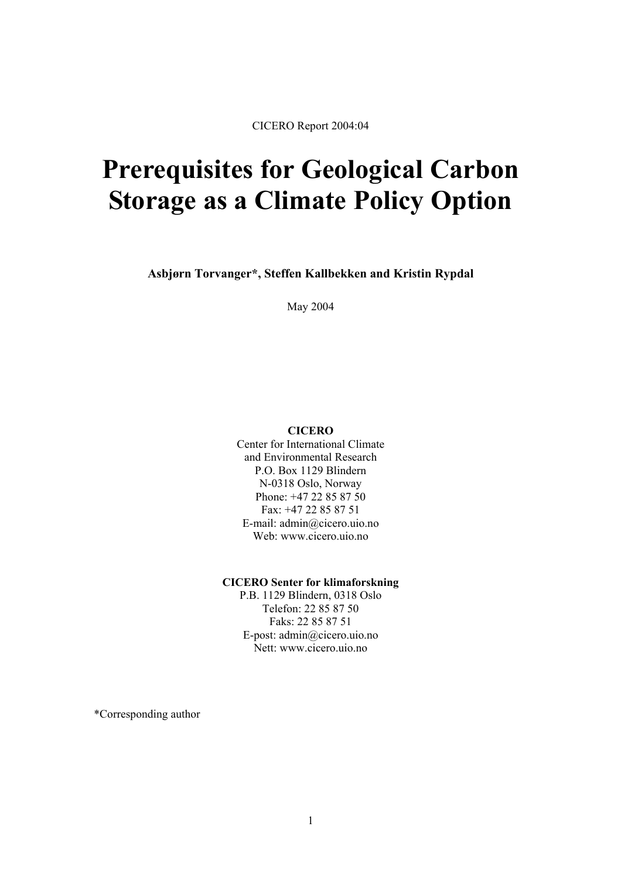CICERO Report 2004:04

# **Prerequisites for Geological Carbon Storage as a Climate Policy Option**

**Asbjørn Torvanger\*, Steffen Kallbekken and Kristin Rypdal** 

May 2004

#### **CICERO**

Center for International Climate and Environmental Research P.O. Box 1129 Blindern N-0318 Oslo, Norway Phone: +47 22 85 87 50 Fax: +47 22 85 87 51 E-mail: admin@cicero.uio.no Web: www.cicero.uio.no

#### **CICERO Senter for klimaforskning**

P.B. 1129 Blindern, 0318 Oslo Telefon: 22 85 87 50 Faks: 22 85 87 51 E-post: admin@cicero.uio.no Nett: www.cicero.uio.no

\*Corresponding author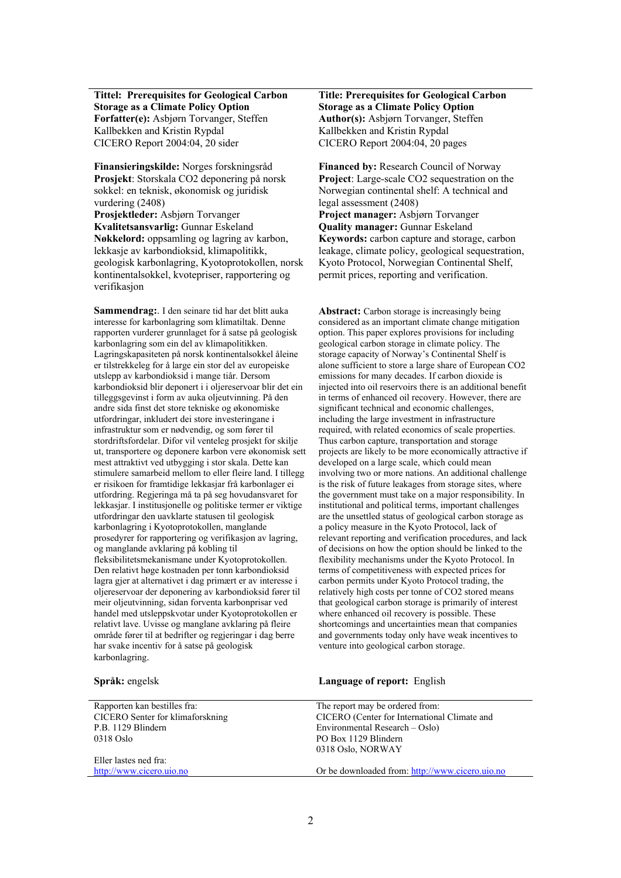**Tittel: Prerequisites for Geological Carbon Storage as a Climate Policy Option Forfatter(e):** Asbjørn Torvanger, Steffen Kallbekken and Kristin Rypdal CICERO Report 2004:04, 20 sider CICERO Report 2004:04, 20 pages

**Finansieringskilde:** Norges forskningsråd **Financed by:** Research Council of Norway **Prosjekt**: Storskala CO2 deponering på norsk sokkel: en teknisk, økonomisk og juridisk vurdering (2408) **Prosjektleder:** Asbjørn Torvanger **Project manager:** Asbjørn Torvanger **Kvalitetsansvarlig:** Gunnar Eskeland **Quality manager:** Gunnar Eskeland **Nøkkelord:** oppsamling og lagring av karbon, lekkasje av karbondioksid, klimapolitikk, geologisk karbonlagring, Kyotoprotokollen, norsk kontinentalsokkel, kvotepriser, rapportering og verifikasjon

**Sammendrag:**. I den seinare tid har det blitt auka interesse for karbonlagring som klimatiltak. Denne rapporten vurderer grunnlaget for å satse på geologisk karbonlagring som ein del av klimapolitikken. Lagringskapasiteten på norsk kontinentalsokkel åleine er tilstrekkeleg for å large ein stor del av europeiske utslepp av karbondioksid i mange tiår. Dersom karbondioksid blir deponert i i oljereservoar blir det ein tilleggsgevinst i form av auka oljeutvinning. På den andre sida finst det store tekniske og økonomiske utfordringar, inkludert dei store investeringane i infrastruktur som er nødvendig, og som fører til stordriftsfordelar. Difor vil venteleg prosjekt for skilje ut, transportere og deponere karbon vere økonomisk sett mest attraktivt ved utbygging i stor skala. Dette kan stimulere samarbeid mellom to eller fleire land. I tillegg er risikoen for framtidige lekkasjar frå karbonlager ei utfordring. Regjeringa må ta på seg hovudansvaret for lekkasjar. I institusjonelle og politiske termer er viktige utfordringar den uavklarte statusen til geologisk karbonlagring i Kyotoprotokollen, manglande prosedyrer for rapportering og verifikasjon av lagring, og manglande avklaring på kobling til fleksibilitetsmekanismane under Kyotoprotokollen. Den relativt høge kostnaden per tonn karbondioksid lagra gjer at alternativet i dag primært er av interesse i oljereservoar der deponering av karbondioksid fører til meir oljeutvinning, sidan forventa karbonprisar ved handel med utsleppskvotar under Kyotoprotokollen er relativt lave. Uvisse og manglane avklaring på fleire område fører til at bedrifter og regjeringar i dag berre har svake incentiv for å satse på geologisk karbonlagring.

#### **Title: Prerequisites for Geological Carbon Storage as a Climate Policy Option Author(s):** Asbjørn Torvanger, Steffen Kallbekken and Kristin Rypdal

**Project**: Large-scale CO2 sequestration on the Norwegian continental shelf: A technical and legal assessment (2408) **Keywords:** carbon capture and storage, carbon leakage, climate policy, geological sequestration, Kyoto Protocol, Norwegian Continental Shelf, permit prices, reporting and verification.

**Abstract:** Carbon storage is increasingly being considered as an important climate change mitigation option. This paper explores provisions for including geological carbon storage in climate policy. The storage capacity of Norway's Continental Shelf is alone sufficient to store a large share of European CO2 emissions for many decades. If carbon dioxide is injected into oil reservoirs there is an additional benefit in terms of enhanced oil recovery. However, there are significant technical and economic challenges, including the large investment in infrastructure required, with related economics of scale properties. Thus carbon capture, transportation and storage projects are likely to be more economically attractive if developed on a large scale, which could mean involving two or more nations. An additional challenge is the risk of future leakages from storage sites, where the government must take on a major responsibility. In institutional and political terms, important challenges are the unsettled status of geological carbon storage as a policy measure in the Kyoto Protocol, lack of relevant reporting and verification procedures, and lack of decisions on how the option should be linked to the flexibility mechanisms under the Kyoto Protocol. In terms of competitiveness with expected prices for carbon permits under Kyoto Protocol trading, the relatively high costs per tonne of CO2 stored means that geological carbon storage is primarily of interest where enhanced oil recovery is possible. These shortcomings and uncertainties mean that companies and governments today only have weak incentives to venture into geological carbon storage.

| Språk: engelsk                   | <b>Language of report:</b> English              |
|----------------------------------|-------------------------------------------------|
| Rapporten kan bestilles fra:     | The report may be ordered from:                 |
| CICERO Senter for klimaforskning | CICERO (Center for International Climate and    |
| P.B. 1129 Blindern               | Environmental Research – Oslo)                  |
| $0318$ Oslo                      | PO Box 1129 Blindern                            |
|                                  | 0318 Oslo, NORWAY                               |
| Eller lastes ned fra:            |                                                 |
| http://www.cicero.uio.no         | Or be downloaded from: http://www.cicero.uio.no |
|                                  |                                                 |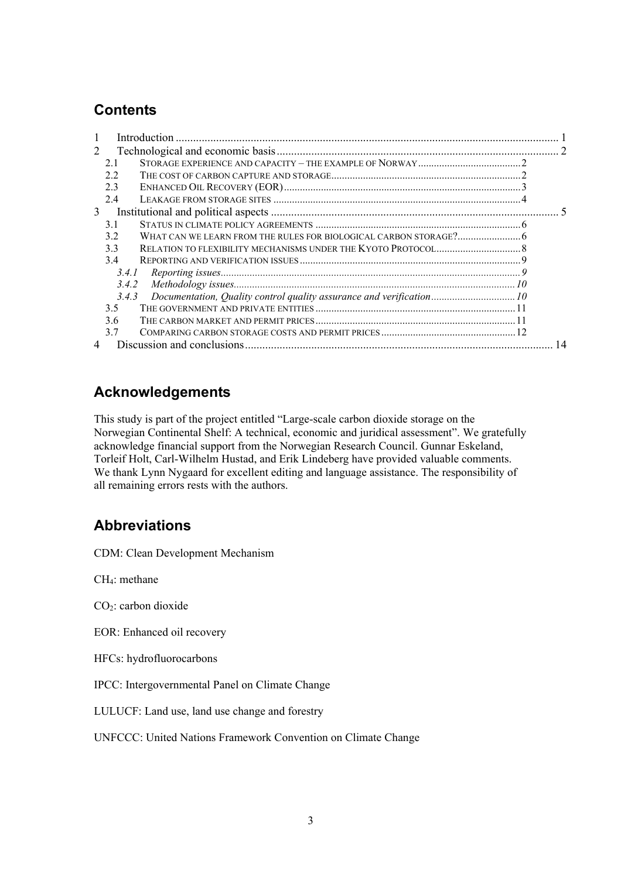# **Contents**

| 1 |       | Introduction |    |
|---|-------|--------------|----|
| 2 |       |              |    |
|   | 21    |              |    |
|   | 2.2   |              |    |
|   | 2.3   |              |    |
|   | 2.4   |              |    |
| 3 |       |              |    |
|   | 3.1   |              |    |
|   | 3.2   |              |    |
|   | 3.3   |              |    |
|   | 3.4   |              |    |
|   | 3.4.1 |              |    |
|   | 3.4.2 |              |    |
|   | 3.4.3 |              |    |
|   | 3.5   |              |    |
|   | 36    |              |    |
|   | 3.7   |              |    |
| 4 |       |              | 14 |

# **Acknowledgements**

This study is part of the project entitled "Large-scale carbon dioxide storage on the Norwegian Continental Shelf: A technical, economic and juridical assessment". We gratefully acknowledge financial support from the Norwegian Research Council. Gunnar Eskeland, Torleif Holt, Carl-Wilhelm Hustad, and Erik Lindeberg have provided valuable comments. We thank Lynn Nygaard for excellent editing and language assistance. The responsibility of all remaining errors rests with the authors.

# **Abbreviations**

CDM: Clean Development Mechanism

CH4: methane

CO2: carbon dioxide

EOR: Enhanced oil recovery

HFCs: hydrofluorocarbons

IPCC: Intergovernmental Panel on Climate Change

LULUCF: Land use, land use change and forestry

UNFCCC: United Nations Framework Convention on Climate Change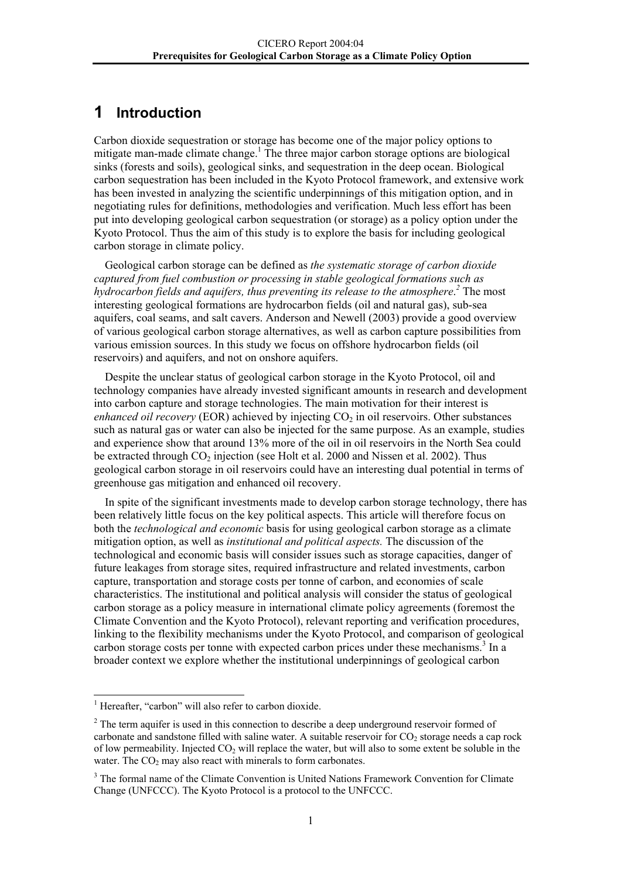# <span id="page-3-0"></span>**1 Introduction**

Carbon dioxide sequestration or storage has become one of the major policy options to mitigate man-made climate change.<sup>1</sup> The three major carbon storage options are biological sinks (forests and soils), geological sinks, and sequestration in the deep ocean. Biological carbon sequestration has been included in the Kyoto Protocol framework, and extensive work has been invested in analyzing the scientific underpinnings of this mitigation option, and in negotiating rules for definitions, methodologies and verification. Much less effort has been put into developing geological carbon sequestration (or storage) as a policy option under the Kyoto Protocol. Thus the aim of this study is to explore the basis for including geological carbon storage in climate policy.

Geological carbon storage can be defined as *the systematic storage of carbon dioxide captured from fuel combustion or processing in stable geological formations such as*  hydrocarbon fields and aquifers, thus preventing its release to the atmosphere.<sup>[2](#page-3-2)</sup> The most interesting geological formations are hydrocarbon fields (oil and natural gas), sub-sea aquifers, coal seams, and salt cavers. Anderson and Newell (2003) provide a good overview of various geological carbon storage alternatives, as well as carbon capture possibilities from various emission sources. In this study we focus on offshore hydrocarbon fields (oil reservoirs) and aquifers, and not on onshore aquifers.

Despite the unclear status of geological carbon storage in the Kyoto Protocol, oil and technology companies have already invested significant amounts in research and development into carbon capture and storage technologies. The main motivation for their interest is *enhanced oil recovery* (EOR) achieved by injecting  $CO<sub>2</sub>$  in oil reservoirs. Other substances such as natural gas or water can also be injected for the same purpose. As an example, studies and experience show that around 13% more of the oil in oil reservoirs in the North Sea could be extracted through CO<sub>2</sub> injection (see Holt et al. 2000 and Nissen et al. 2002). Thus geological carbon storage in oil reservoirs could have an interesting dual potential in terms of greenhouse gas mitigation and enhanced oil recovery.

In spite of the significant investments made to develop carbon storage technology, there has been relatively little focus on the key political aspects. This article will therefore focus on both the *technological and economic* basis for using geological carbon storage as a climate mitigation option, as well as *institutional and political aspects.* The discussion of the technological and economic basis will consider issues such as storage capacities, danger of future leakages from storage sites, required infrastructure and related investments, carbon capture, transportation and storage costs per tonne of carbon, and economies of scale characteristics. The institutional and political analysis will consider the status of geological carbon storage as a policy measure in international climate policy agreements (foremost the Climate Convention and the Kyoto Protocol), relevant reporting and verification procedures, linking to the flexibility mechanisms under the Kyoto Protocol, and comparison of geological carbon storage costs per tonne with expected carbon prices under these mechanisms.<sup>[3](#page-3-3)</sup> In a broader context we explore whether the institutional underpinnings of geological carbon

<span id="page-3-1"></span> 1 Hereafter, "carbon" will also refer to carbon dioxide.

<span id="page-3-2"></span> $2<sup>2</sup>$  The term aquifer is used in this connection to describe a deep underground reservoir formed of carbonate and sandstone filled with saline water. A suitable reservoir for  $CO<sub>2</sub>$  storage needs a cap rock of low permeability. Injected  $CO<sub>2</sub>$  will replace the water, but will also to some extent be soluble in the water. The  $CO<sub>2</sub>$  may also react with minerals to form carbonates.

<span id="page-3-3"></span><sup>&</sup>lt;sup>3</sup> The formal name of the Climate Convention is United Nations Framework Convention for Climate Change (UNFCCC). The Kyoto Protocol is a protocol to the UNFCCC.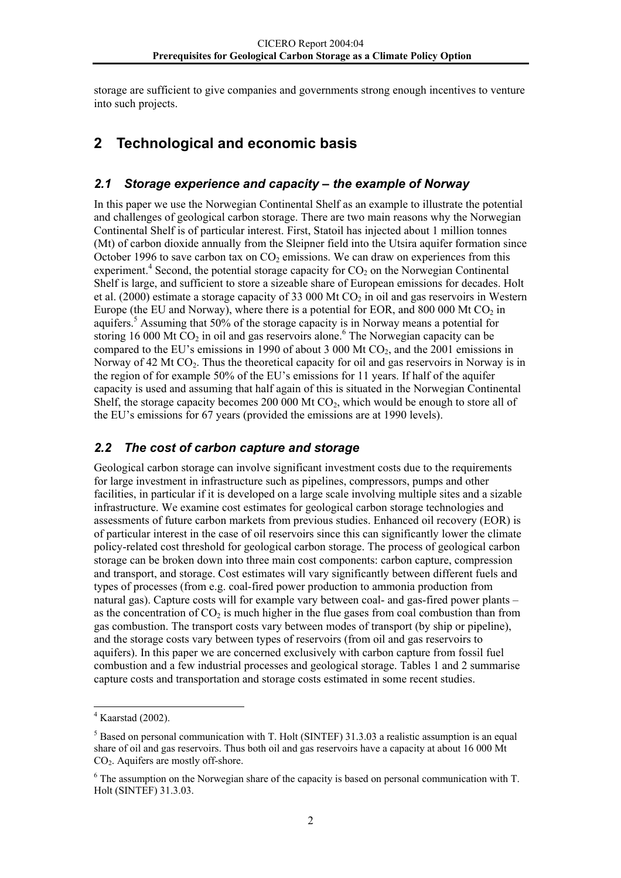<span id="page-4-0"></span>storage are sufficient to give companies and governments strong enough incentives to venture into such projects.

# **2 Technological and economic basis**

## *2.1 Storage experience and capacity – the example of Norway*

In this paper we use the Norwegian Continental Shelf as an example to illustrate the potential and challenges of geological carbon storage. There are two main reasons why the Norwegian Continental Shelf is of particular interest. First, Statoil has injected about 1 million tonnes (Mt) of carbon dioxide annually from the Sleipner field into the Utsira aquifer formation since October 1996 to save carbon tax on  $CO<sub>2</sub>$  emissions. We can draw on experiences from this experiment.<sup>[4](#page-4-1)</sup> Second, the potential storage capacity for  $CO<sub>2</sub>$  on the Norwegian Continental Shelf is large, and sufficient to store a sizeable share of European emissions for decades. Holt et al. (2000) estimate a storage capacity of 33 000 Mt  $CO<sub>2</sub>$  in oil and gas reservoirs in Western Europe (the EU and Norway), where there is a potential for EOR, and 800 000 Mt  $CO<sub>2</sub>$  in aquifers.<sup>[5](#page-4-2)</sup> Assuming that 50% of the storage capacity is in Norway means a potential for storing16 000 Mt  $CO<sub>2</sub>$  in oil and gas reservoirs alone.<sup>6</sup> The Norwegian capacity can be compared to the EU's emissions in 1990 of about 3 000 Mt  $CO<sub>2</sub>$ , and the 2001 emissions in Norway of 42 Mt  $CO<sub>2</sub>$ . Thus the theoretical capacity for oil and gas reservoirs in Norway is in the region of for example 50% of the EU's emissions for 11 years. If half of the aquifer capacity is used and assuming that half again of this is situated in the Norwegian Continental Shelf, the storage capacity becomes 200 000 Mt  $CO<sub>2</sub>$ , which would be enough to store all of the EU's emissions for 67 years (provided the emissions are at 1990 levels).

## *2.2 The cost of carbon capture and storage*

Geological carbon storage can involve significant investment costs due to the requirements for large investment in infrastructure such as pipelines, compressors, pumps and other facilities, in particular if it is developed on a large scale involving multiple sites and a sizable infrastructure. We examine cost estimates for geological carbon storage technologies and assessments of future carbon markets from previous studies. Enhanced oil recovery (EOR) is of particular interest in the case of oil reservoirs since this can significantly lower the climate policy-related cost threshold for geological carbon storage. The process of geological carbon storage can be broken down into three main cost components: carbon capture, compression and transport, and storage. Cost estimates will vary significantly between different fuels and types of processes (from e.g. coal-fired power production to ammonia production from natural gas). Capture costs will for example vary between coal- and gas-fired power plants – as the concentration of  $CO<sub>2</sub>$  is much higher in the flue gases from coal combustion than from gas combustion. The transport costs vary between modes of transport (by ship or pipeline), and the storage costs vary between types of reservoirs (from oil and gas reservoirs to aquifers). In this paper we are concerned exclusively with carbon capture from fossil fuel combustion and a few industrial processes and geological storage. Tables 1 and 2 summarise capture costs and transportation and storage costs estimated in some recent studies.

<span id="page-4-1"></span> $4$  Kaarstad (2002).

<span id="page-4-2"></span><sup>&</sup>lt;sup>5</sup> Based on personal communication with T. Holt (SINTEF) 31.3.03 a realistic assumption is an equal share of oil and gas reservoirs. Thus both oil and gas reservoirs have a capacity at about 16 000 Mt  $CO<sub>2</sub>$ . Aquifers are mostly off-shore.

<span id="page-4-3"></span> $6$  The assumption on the Norwegian share of the capacity is based on personal communication with T. Holt (SINTEF) 31.3.03.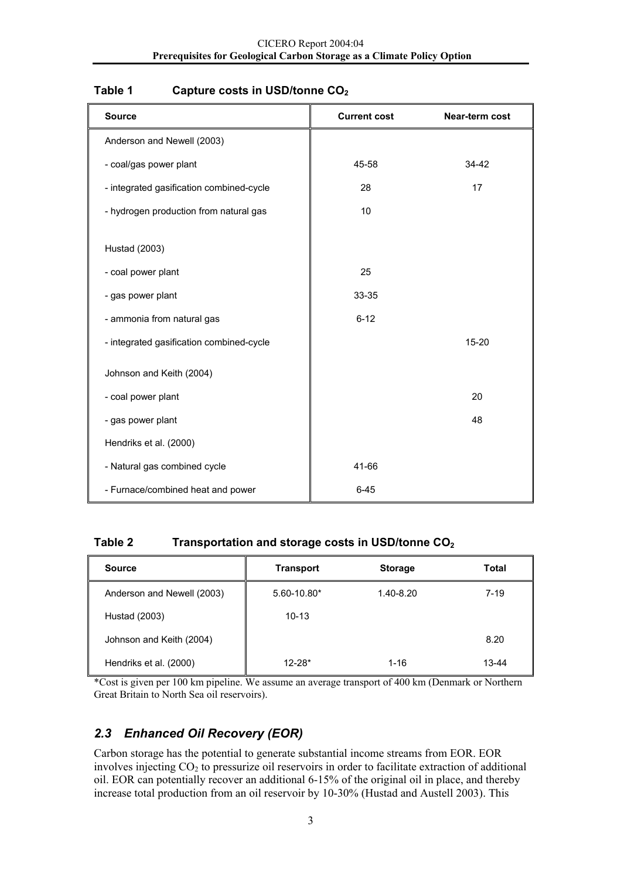| <b>Source</b>                            | <b>Current cost</b> | Near-term cost |
|------------------------------------------|---------------------|----------------|
| Anderson and Newell (2003)               |                     |                |
| - coal/gas power plant                   | 45-58               | 34-42          |
| - integrated gasification combined-cycle | 28                  | 17             |
| - hydrogen production from natural gas   | 10                  |                |
| Hustad (2003)                            |                     |                |
| - coal power plant                       | 25                  |                |
| - gas power plant                        | 33-35               |                |
| - ammonia from natural gas               | $6 - 12$            |                |
| - integrated gasification combined-cycle |                     | $15 - 20$      |
| Johnson and Keith (2004)                 |                     |                |
| - coal power plant                       |                     | 20             |
| - gas power plant                        |                     | 48             |
| Hendriks et al. (2000)                   |                     |                |
| - Natural gas combined cycle             | 41-66               |                |
| - Furnace/combined heat and power        | $6 - 45$            |                |

## <span id="page-5-0"></span>Table 1 Capture costs in USD/tonne CO<sub>2</sub>

## **Table 2 Transportation and storage costs in USD/tonne CO2**

| <b>Source</b>              | <b>Transport</b> | <b>Storage</b> | Total |
|----------------------------|------------------|----------------|-------|
| Anderson and Newell (2003) | $5.60 - 10.80*$  | 1.40-8.20      | 7-19  |
| Hustad (2003)              | $10 - 13$        |                |       |
| Johnson and Keith (2004)   |                  |                | 8.20  |
| Hendriks et al. (2000)     | $12 - 28*$       | $1 - 16$       | 13-44 |

\*Cost is given per 100 km pipeline. We assume an average transport of 400 km (Denmark or Northern Great Britain to North Sea oil reservoirs).

## *2.3 Enhanced Oil Recovery (EOR)*

Carbon storage has the potential to generate substantial income streams from EOR. EOR involves injecting  $CO<sub>2</sub>$  to pressurize oil reservoirs in order to facilitate extraction of additional oil. EOR can potentially recover an additional 6-15% of the original oil in place, and thereby increase total production from an oil reservoir by 10-30% (Hustad and Austell 2003). This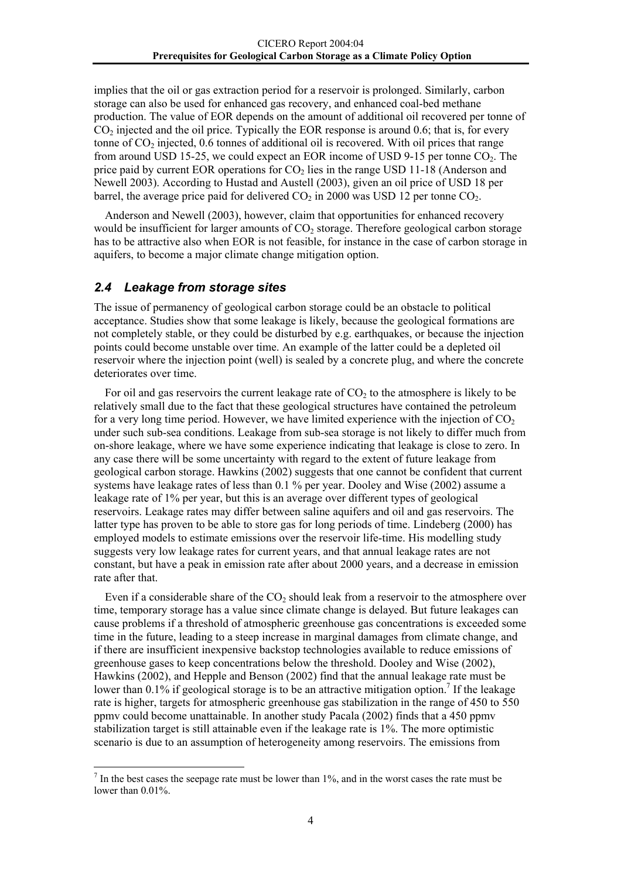<span id="page-6-0"></span>implies that the oil or gas extraction period for a reservoir is prolonged. Similarly, carbon storage can also be used for enhanced gas recovery, and enhanced coal-bed methane production. The value of EOR depends on the amount of additional oil recovered per tonne of  $CO<sub>2</sub>$  injected and the oil price. Typically the EOR response is around 0.6; that is, for every tonne of  $CO<sub>2</sub>$  injected,  $0.6$  tonnes of additional oil is recovered. With oil prices that range from around USD 15-25, we could expect an EOR income of USD 9-15 per tonne  $CO<sub>2</sub>$ . The price paid by current EOR operations for  $CO<sub>2</sub>$  lies in the range USD 11-18 (Anderson and Newell 2003). According to Hustad and Austell (2003), given an oil price of USD 18 per barrel, the average price paid for delivered  $CO<sub>2</sub>$  in 2000 was USD 12 per tonne  $CO<sub>2</sub>$ .

Anderson and Newell (2003), however, claim that opportunities for enhanced recovery would be insufficient for larger amounts of  $CO<sub>2</sub>$  storage. Therefore geological carbon storage has to be attractive also when EOR is not feasible, for instance in the case of carbon storage in aquifers, to become a major climate change mitigation option.

## *2.4 Leakage from storage sites*

l

The issue of permanency of geological carbon storage could be an obstacle to political acceptance. Studies show that some leakage is likely, because the geological formations are not completely stable, or they could be disturbed by e.g. earthquakes, or because the injection points could become unstable over time. An example of the latter could be a depleted oil reservoir where the injection point (well) is sealed by a concrete plug, and where the concrete deteriorates over time.

For oil and gas reservoirs the current leakage rate of  $CO<sub>2</sub>$  to the atmosphere is likely to be relatively small due to the fact that these geological structures have contained the petroleum for a very long time period. However, we have limited experience with the injection of  $CO<sub>2</sub>$ under such sub-sea conditions. Leakage from sub-sea storage is not likely to differ much from on-shore leakage, where we have some experience indicating that leakage is close to zero. In any case there will be some uncertainty with regard to the extent of future leakage from geological carbon storage. Hawkins (2002) suggests that one cannot be confident that current systems have leakage rates of less than 0.1 % per year. Dooley and Wise (2002) assume a leakage rate of 1% per year, but this is an average over different types of geological reservoirs. Leakage rates may differ between saline aquifers and oil and gas reservoirs. The latter type has proven to be able to store gas for long periods of time. Lindeberg (2000) has employed models to estimate emissions over the reservoir life-time. His modelling study suggests very low leakage rates for current years, and that annual leakage rates are not constant, but have a peak in emission rate after about 2000 years, and a decrease in emission rate after that.

Even if a considerable share of the  $CO<sub>2</sub>$  should leak from a reservoir to the atmosphere over time, temporary storage has a value since climate change is delayed. But future leakages can cause problems if a threshold of atmospheric greenhouse gas concentrations is exceeded some time in the future, leading to a steep increase in marginal damages from climate change, and if there are insufficient inexpensive backstop technologies available to reduce emissions of greenhouse gases to keep concentrations below the threshold. Dooley and Wise (2002), Hawkins (2002), and Hepple and Benson (2002) find that the annual leakage rate must be lower than 0.1% if geological storage is to be an attractive mitigation option.<sup>[7](#page-6-1)</sup> If the leakage rate is higher, targets for atmospheric greenhouse gas stabilization in the range of 450 to 550 ppmv could become unattainable. In another study Pacala (2002) finds that a 450 ppmv stabilization target is still attainable even if the leakage rate is 1%. The more optimistic scenario is due to an assumption of heterogeneity among reservoirs. The emissions from

<span id="page-6-1"></span> $<sup>7</sup>$  In the best cases the seepage rate must be lower than 1%, and in the worst cases the rate must be</sup> lower than  $0.01\%$ .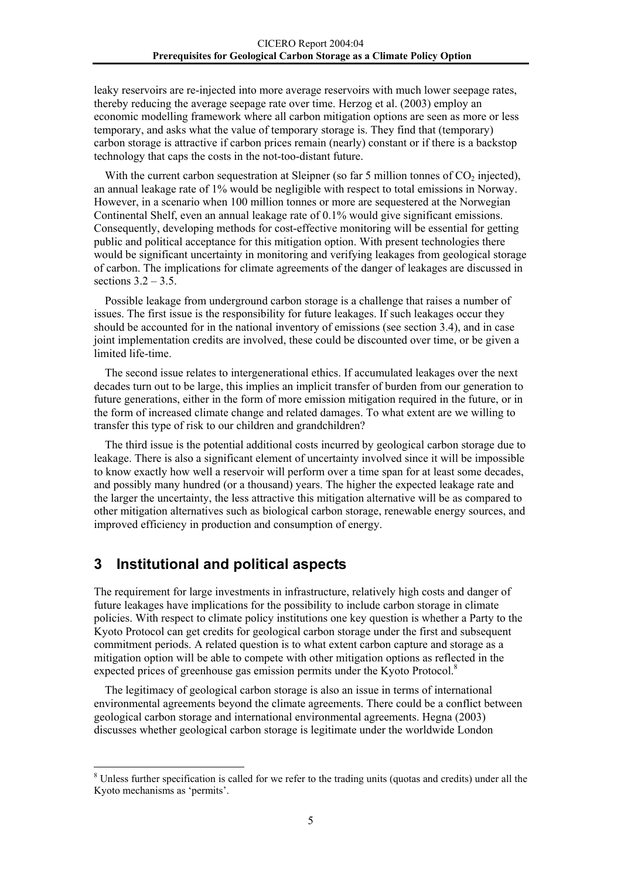<span id="page-7-0"></span>leaky reservoirs are re-injected into more average reservoirs with much lower seepage rates, thereby reducing the average seepage rate over time. Herzog et al. (2003) employ an economic modelling framework where all carbon mitigation options are seen as more or less temporary, and asks what the value of temporary storage is. They find that (temporary) carbon storage is attractive if carbon prices remain (nearly) constant or if there is a backstop technology that caps the costs in the not-too-distant future.

With the current carbon sequestration at Sleipner (so far 5 million tonnes of  $CO<sub>2</sub>$  injected), an annual leakage rate of 1% would be negligible with respect to total emissions in Norway. However, in a scenario when 100 million tonnes or more are sequestered at the Norwegian Continental Shelf, even an annual leakage rate of 0.1% would give significant emissions. Consequently, developing methods for cost-effective monitoring will be essential for getting public and political acceptance for this mitigation option. With present technologies there would be significant uncertainty in monitoring and verifying leakages from geological storage of carbon. The implications for climate agreements of the danger of leakages are discussed in sections  $3.2 - 3.5$ .

Possible leakage from underground carbon storage is a challenge that raises a number of issues. The first issue is the responsibility for future leakages. If such leakages occur they should be accounted for in the national inventory of emissions (see section 3.4), and in case joint implementation credits are involved, these could be discounted over time, or be given a limited life-time.

The second issue relates to intergenerational ethics. If accumulated leakages over the next decades turn out to be large, this implies an implicit transfer of burden from our generation to future generations, either in the form of more emission mitigation required in the future, or in the form of increased climate change and related damages. To what extent are we willing to transfer this type of risk to our children and grandchildren?

The third issue is the potential additional costs incurred by geological carbon storage due to leakage. There is also a significant element of uncertainty involved since it will be impossible to know exactly how well a reservoir will perform over a time span for at least some decades, and possibly many hundred (or a thousand) years. The higher the expected leakage rate and the larger the uncertainty, the less attractive this mitigation alternative will be as compared to other mitigation alternatives such as biological carbon storage, renewable energy sources, and improved efficiency in production and consumption of energy.

## **3 Institutional and political aspects**

l

The requirement for large investments in infrastructure, relatively high costs and danger of future leakages have implications for the possibility to include carbon storage in climate policies. With respect to climate policy institutions one key question is whether a Party to the Kyoto Protocol can get credits for geological carbon storage under the first and subsequent commitment periods. A related question is to what extent carbon capture and storage as a mitigation option will be able to compete with other mitigation options as reflected in the expected prices of greenhouse gas emission permits under the Kyoto Protocol.<sup>[8](#page-7-1)</sup>

The legitimacy of geological carbon storage is also an issue in terms of international environmental agreements beyond the climate agreements. There could be a conflict between geological carbon storage and international environmental agreements. Hegna (2003) discusses whether geological carbon storage is legitimate under the worldwide London

<span id="page-7-1"></span> $8$  Unless further specification is called for we refer to the trading units (quotas and credits) under all the Kyoto mechanisms as 'permits'.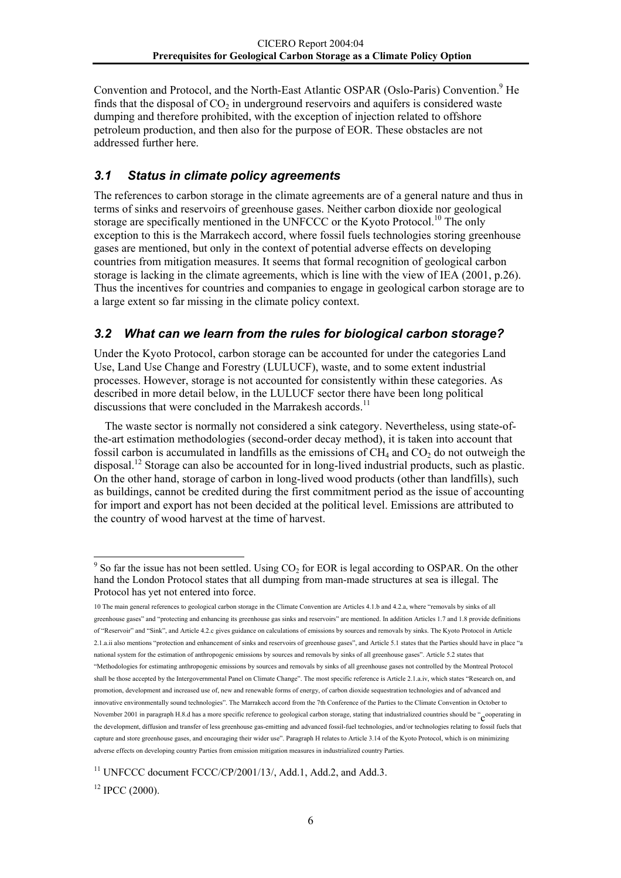<span id="page-8-0"></span>Convention and Protocol, and the North-East Atlantic OSPAR (Oslo-Paris) Convention.<sup>[9](#page-8-1)</sup> He finds that the disposal of  $CO<sub>2</sub>$  in underground reservoirs and aquifers is considered waste dumping and therefore prohibited, with the exception of injection related to offshore petroleum production, and then also for the purpose of EOR. These obstacles are not addressed further here.

## *3.1 Status in climate policy agreements*

The references to carbon storage in the climate agreements are of a general nature and thus in terms of sinks and reservoirs of greenhouse gases. Neither carbon dioxide nor geological storage are specifically mentioned in the UNFCCC or the Kyoto Protocol.<sup>10</sup> The only exception to this is the Marrakech accord, where fossil fuels technologies storing greenhouse gases are mentioned, but only in the context of potential adverse effects on developing countries from mitigation measures. It seems that formal recognition of geological carbon storage is lacking in the climate agreements, which is line with the view of IEA (2001, p.26). Thus the incentives for countries and companies to engage in geological carbon storage are to a large extent so far missing in the climate policy context.

## *3.2 What can we learn from the rules for biological carbon storage?*

Under the Kyoto Protocol, carbon storage can be accounted for under the categories Land Use, Land Use Change and Forestry (LULUCF), waste, and to some extent industrial processes. However, storage is not accounted for consistently within these categories. As described in more detail below, in the LULUCF sector there have been long political discussions that were concluded in the Marrakesh accords.<sup>[11](#page-8-3)</sup>

The waste sector is normally not considered a sink category. Nevertheless, using state-ofthe-art estimation methodologies (second-order decay method), it is taken into account that fossil carbon is accumulated in landfills as the emissions of  $CH_4$  and  $CO_2$  do not outweigh the disposal.<sup>12</sup> Storage can also be accounted for in long-lived industrial products, such as plastic. On the other hand, storage of carbon in long-lived wood products (other than landfills), such as buildings, cannot be credited during the first commitment period as the issue of accounting for import and export has not been decided at the political level. Emissions are attributed to the country of wood harvest at the time of harvest.

<span id="page-8-3"></span><sup>11</sup> UNFCCC document FCCC/CP/2001/13/, Add.1, Add.2, and Add.3.

<span id="page-8-4"></span> $12$  IPCC (2000).

<span id="page-8-1"></span> $\frac{9}{9}$  So far the issue has not been settled. Using CO<sub>2</sub> for EOR is legal according to OSPAR. On the other hand the London Protocol states that all dumping from man-made structures at sea is illegal. The Protocol has yet not entered into force.

<span id="page-8-2"></span><sup>10</sup> The main general references to geological carbon storage in the Climate Convention are Articles 4.1.b and 4.2.a, where "removals by sinks of all greenhouse gases" and "protecting and enhancing its greenhouse gas sinks and reservoirs" are mentioned. In addition Articles 1.7 and 1.8 provide definitions of "Reservoir" and "Sink", and Article 4.2.c gives guidance on calculations of emissions by sources and removals by sinks. The Kyoto Protocol in Article 2.1.a.ii also mentions "protection and enhancement of sinks and reservoirs of greenhouse gases", and Article 5.1 states that the Parties should have in place "a national system for the estimation of anthropogenic emissions by sources and removals by sinks of all greenhouse gases". Article 5.2 states that "Methodologies for estimating anthropogenic emissions by sources and removals by sinks of all greenhouse gases not controlled by the Montreal Protocol shall be those accepted by the Intergovernmental Panel on Climate Change". The most specific reference is Article 2.1.a.iv, which states "Research on, and promotion, development and increased use of, new and renewable forms of energy, of carbon dioxide sequestration technologies and of advanced and innovative environmentally sound technologies". The Marrakech accord from the 7th Conference of the Parties to the Climate Convention in October to November 2001 in paragraph H.8.d has a more specific reference to geological carbon storage, stating that industrialized countries should be "Cooperating in the development, diffusion and transfer of less greenhouse gas-emitting and advanced fossil-fuel technologies, and/or technologies relating to fossil fuels that capture and store greenhouse gases, and encouraging their wider use". Paragraph H relates to Article 3.14 of the Kyoto Protocol, which is on minimizing adverse effects on developing country Parties from emission mitigation measures in industrialized country Parties.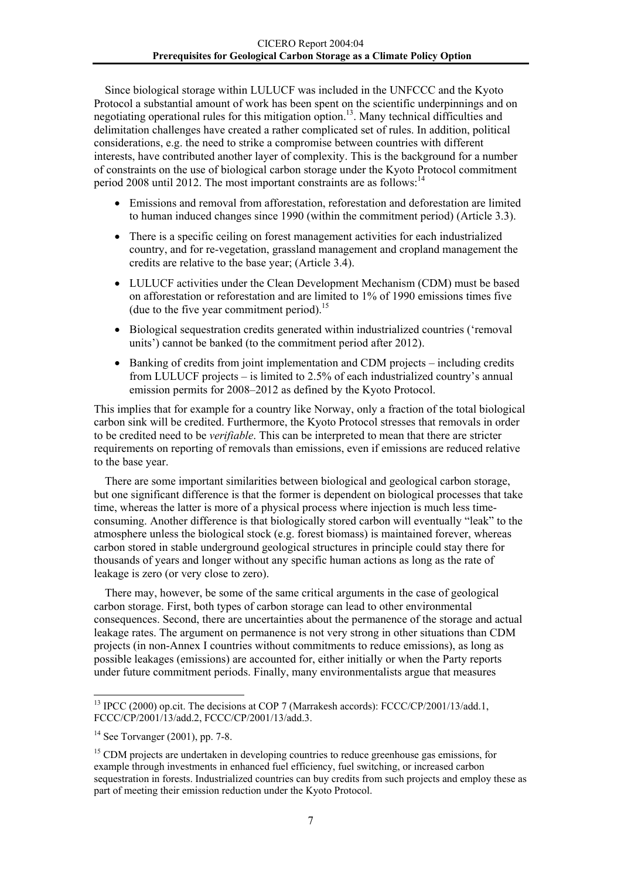Since biological storage within LULUCF was included in the UNFCCC and the Kyoto Protocol a substantial amount of work has been spent on the scientific underpinnings and on negotiating operational rules for this mitigation option.<sup>13</sup>. Many technical difficulties and delimitation challenges have created a rather complicated set of rules. In addition, political considerations, e.g. the need to strike a compromise between countries with different interests, have contributed another layer of complexity. This is the background for a number of constraints on the use of biological carbon storage under the Kyoto Protocol commitment period 2008 until 2012. The most important constraints are as follows:  $14$ 

- Emissions and removal from afforestation, reforestation and deforestation are limited to human induced changes since 1990 (within the commitment period) (Article 3.3).
- There is a specific ceiling on forest management activities for each industrialized country, and for re-vegetation, grassland management and cropland management the credits are relative to the base year; (Article 3.4).
- LULUCF activities under the Clean Development Mechanism (CDM) must be based on afforestation or reforestation and are limited to 1% of 1990 emissions times five (due to the five year commitment period).<sup>15</sup>
- Biological sequestration credits generated within industrialized countries ('removal units') cannot be banked (to the commitment period after 2012).
- Banking of credits from joint implementation and CDM projects including credits from LULUCF projects – is limited to 2.5% of each industrialized country's annual emission permits for 2008–2012 as defined by the Kyoto Protocol.

This implies that for example for a country like Norway, only a fraction of the total biological carbon sink will be credited. Furthermore, the Kyoto Protocol stresses that removals in order to be credited need to be *verifiable*. This can be interpreted to mean that there are stricter requirements on reporting of removals than emissions, even if emissions are reduced relative to the base year.

There are some important similarities between biological and geological carbon storage, but one significant difference is that the former is dependent on biological processes that take time, whereas the latter is more of a physical process where injection is much less timeconsuming. Another difference is that biologically stored carbon will eventually "leak" to the atmosphere unless the biological stock (e.g. forest biomass) is maintained forever, whereas carbon stored in stable underground geological structures in principle could stay there for thousands of years and longer without any specific human actions as long as the rate of leakage is zero (or very close to zero).

There may, however, be some of the same critical arguments in the case of geological carbon storage. First, both types of carbon storage can lead to other environmental consequences. Second, there are uncertainties about the permanence of the storage and actual leakage rates. The argument on permanence is not very strong in other situations than CDM projects (in non-Annex I countries without commitments to reduce emissions), as long as possible leakages (emissions) are accounted for, either initially or when the Party reports under future commitment periods. Finally, many environmentalists argue that measures

<span id="page-9-0"></span><sup>&</sup>lt;sup>13</sup> IPCC (2000) op.cit. The decisions at COP 7 (Marrakesh accords): FCCC/CP/2001/13/add.1, FCCC/CP/2001/13/add.2, FCCC/CP/2001/13/add.3.

<span id="page-9-1"></span> $14$  See Torvanger (2001), pp. 7-8.

<span id="page-9-2"></span><sup>&</sup>lt;sup>15</sup> CDM projects are undertaken in developing countries to reduce greenhouse gas emissions, for example through investments in enhanced fuel efficiency, fuel switching, or increased carbon sequestration in forests. Industrialized countries can buy credits from such projects and employ these as part of meeting their emission reduction under the Kyoto Protocol.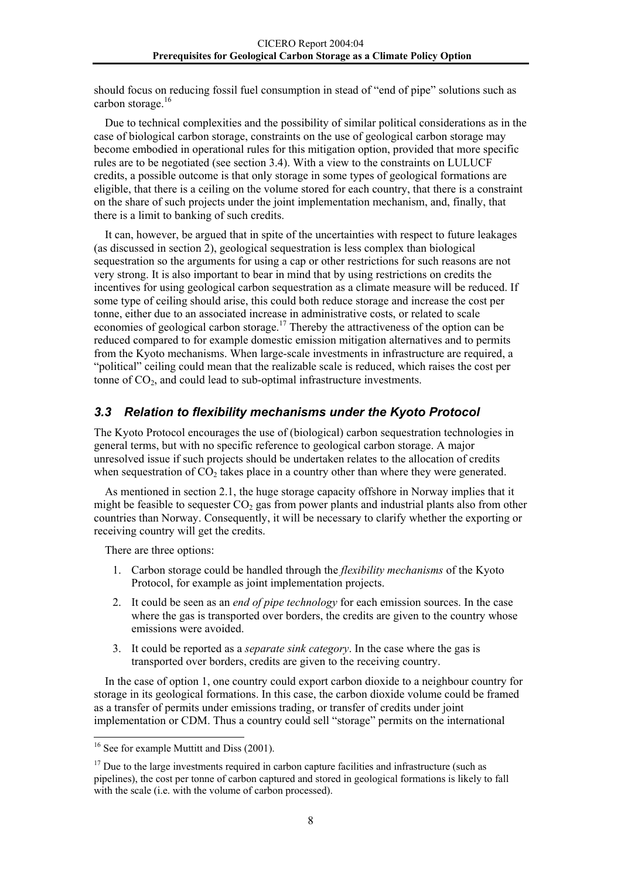<span id="page-10-0"></span>should focus on reducing fossil fuel consumption in stead of "end of pipe" solutions such as carbon storage. $16$ 

Due to technical complexities and the possibility of similar political considerations as in the case of biological carbon storage, constraints on the use of geological carbon storage may become embodied in operational rules for this mitigation option, provided that more specific rules are to be negotiated (see section 3.4). With a view to the constraints on LULUCF credits, a possible outcome is that only storage in some types of geological formations are eligible, that there is a ceiling on the volume stored for each country, that there is a constraint on the share of such projects under the joint implementation mechanism, and, finally, that there is a limit to banking of such credits.

It can, however, be argued that in spite of the uncertainties with respect to future leakages (as discussed in section 2), geological sequestration is less complex than biological sequestration so the arguments for using a cap or other restrictions for such reasons are not very strong. It is also important to bear in mind that by using restrictions on credits the incentives for using geological carbon sequestration as a climate measure will be reduced. If some type of ceiling should arise, this could both reduce storage and increase the cost per tonne, either due to an associated increase in administrative costs, or related to scale economies of geological carbon storage.<sup>17</sup> Thereby the attractiveness of the option can be reduced compared to for example domestic emission mitigation alternatives and to permits from the Kyoto mechanisms. When large-scale investments in infrastructure are required, a "political" ceiling could mean that the realizable scale is reduced, which raises the cost per tonne of  $CO<sub>2</sub>$ , and could lead to sub-optimal infrastructure investments.

#### *3.3 Relation to flexibility mechanisms under the Kyoto Protocol*

The Kyoto Protocol encourages the use of (biological) carbon sequestration technologies in general terms, but with no specific reference to geological carbon storage. A major unresolved issue if such projects should be undertaken relates to the allocation of credits when sequestration of  $CO<sub>2</sub>$  takes place in a country other than where they were generated.

As mentioned in section 2.1, the huge storage capacity offshore in Norway implies that it might be feasible to sequester  $CO<sub>2</sub>$  gas from power plants and industrial plants also from other countries than Norway. Consequently, it will be necessary to clarify whether the exporting or receiving country will get the credits.

There are three options:

- 1. Carbon storage could be handled through the *flexibility mechanisms* of the Kyoto Protocol, for example as joint implementation projects.
- 2. It could be seen as an *end of pipe technology* for each emission sources. In the case where the gas is transported over borders, the credits are given to the country whose emissions were avoided.
- 3. It could be reported as a *separate sink category*. In the case where the gas is transported over borders, credits are given to the receiving country.

In the case of option 1, one country could export carbon dioxide to a neighbour country for storage in its geological formations. In this case, the carbon dioxide volume could be framed as a transfer of permits under emissions trading, or transfer of credits under joint implementation or CDM. Thus a country could sell "storage" permits on the international

<span id="page-10-1"></span><sup>&</sup>lt;sup>16</sup> See for example Muttitt and Diss (2001).

<span id="page-10-2"></span> $17$  Due to the large investments required in carbon capture facilities and infrastructure (such as pipelines), the cost per tonne of carbon captured and stored in geological formations is likely to fall with the scale (i.e. with the volume of carbon processed).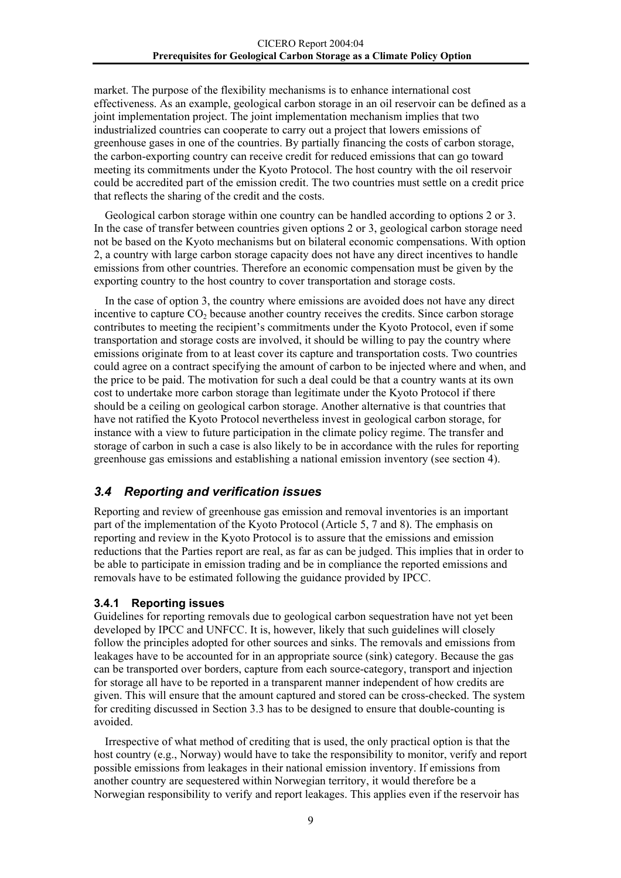<span id="page-11-0"></span>market. The purpose of the flexibility mechanisms is to enhance international cost effectiveness. As an example, geological carbon storage in an oil reservoir can be defined as a joint implementation project. The joint implementation mechanism implies that two industrialized countries can cooperate to carry out a project that lowers emissions of greenhouse gases in one of the countries. By partially financing the costs of carbon storage, the carbon-exporting country can receive credit for reduced emissions that can go toward meeting its commitments under the Kyoto Protocol. The host country with the oil reservoir could be accredited part of the emission credit. The two countries must settle on a credit price that reflects the sharing of the credit and the costs.

Geological carbon storage within one country can be handled according to options 2 or 3. In the case of transfer between countries given options 2 or 3, geological carbon storage need not be based on the Kyoto mechanisms but on bilateral economic compensations. With option 2, a country with large carbon storage capacity does not have any direct incentives to handle emissions from other countries. Therefore an economic compensation must be given by the exporting country to the host country to cover transportation and storage costs.

In the case of option 3, the country where emissions are avoided does not have any direct incentive to capture  $CO<sub>2</sub>$  because another country receives the credits. Since carbon storage contributes to meeting the recipient's commitments under the Kyoto Protocol, even if some transportation and storage costs are involved, it should be willing to pay the country where emissions originate from to at least cover its capture and transportation costs. Two countries could agree on a contract specifying the amount of carbon to be injected where and when, and the price to be paid. The motivation for such a deal could be that a country wants at its own cost to undertake more carbon storage than legitimate under the Kyoto Protocol if there should be a ceiling on geological carbon storage. Another alternative is that countries that have not ratified the Kyoto Protocol nevertheless invest in geological carbon storage, for instance with a view to future participation in the climate policy regime. The transfer and storage of carbon in such a case is also likely to be in accordance with the rules for reporting greenhouse gas emissions and establishing a national emission inventory (see section 4).

## *3.4 Reporting and verification issues*

Reporting and review of greenhouse gas emission and removal inventories is an important part of the implementation of the Kyoto Protocol (Article 5, 7 and 8). The emphasis on reporting and review in the Kyoto Protocol is to assure that the emissions and emission reductions that the Parties report are real, as far as can be judged. This implies that in order to be able to participate in emission trading and be in compliance the reported emissions and removals have to be estimated following the guidance provided by IPCC.

#### **3.4.1 Reporting issues**

Guidelines for reporting removals due to geological carbon sequestration have not yet been developed by IPCC and UNFCC. It is, however, likely that such guidelines will closely follow the principles adopted for other sources and sinks. The removals and emissions from leakages have to be accounted for in an appropriate source (sink) category. Because the gas can be transported over borders, capture from each source-category, transport and injection for storage all have to be reported in a transparent manner independent of how credits are given. This will ensure that the amount captured and stored can be cross-checked. The system for crediting discussed in Section 3.3 has to be designed to ensure that double-counting is avoided.

Irrespective of what method of crediting that is used, the only practical option is that the host country (e.g., Norway) would have to take the responsibility to monitor, verify and report possible emissions from leakages in their national emission inventory. If emissions from another country are sequestered within Norwegian territory, it would therefore be a Norwegian responsibility to verify and report leakages. This applies even if the reservoir has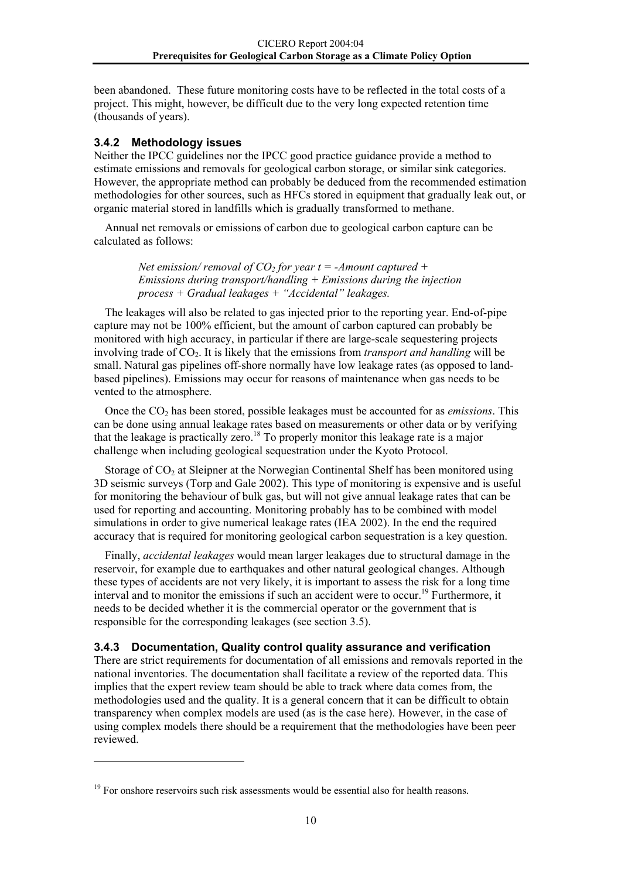<span id="page-12-0"></span>been abandoned. These future monitoring costs have to be reflected in the total costs of a project. This might, however, be difficult due to the very long expected retention time (thousands of years).

#### **3.4.2 Methodology issues**

Neither the IPCC guidelines nor the IPCC good practice guidance provide a method to estimate emissions and removals for geological carbon storage, or similar sink categories. However, the appropriate method can probably be deduced from the recommended estimation methodologies for other sources, such as HFCs stored in equipment that gradually leak out, or organic material stored in landfills which is gradually transformed to methane.

Annual net removals or emissions of carbon due to geological carbon capture can be calculated as follows:

> *Net emission/ removal of*  $CO<sub>2</sub>$  *for year t = -Amount captured + Emissions during transport/handling + Emissions during the injection process + Gradual leakages + "Accidental" leakages.*

The leakages will also be related to gas injected prior to the reporting year. End-of-pipe capture may not be 100% efficient, but the amount of carbon captured can probably be monitored with high accuracy, in particular if there are large-scale sequestering projects involving trade of CO<sub>2</sub>. It is likely that the emissions from *transport and handling* will be small. Natural gas pipelines off-shore normally have low leakage rates (as opposed to landbased pipelines). Emissions may occur for reasons of maintenance when gas needs to be vented to the atmosphere.

Once the CO2 has been stored, possible leakages must be accounted for as *emissions*. This can be done using annual leakage rates based on measurements or other data or by verifying that the leakage is practically zero.<sup>18</sup> To properly monitor this leakage rate is a major challenge when including geological sequestration under the Kyoto Protocol.

Storage of  $CO<sub>2</sub>$  at Sleipner at the Norwegian Continental Shelf has been monitored using 3D seismic surveys (Torp and Gale 2002). This type of monitoring is expensive and is useful for monitoring the behaviour of bulk gas, but will not give annual leakage rates that can be used for reporting and accounting. Monitoring probably has to be combined with model simulations in order to give numerical leakage rates (IEA 2002). In the end the required accuracy that is required for monitoring geological carbon sequestration is a key question.

Finally, *accidental leakages* would mean larger leakages due to structural damage in the reservoir, for example due to earthquakes and other natural geological changes. Although these types of accidents are not very likely, it is important to assess the risk for a long time interval and to monitor the emissions if such an accident were to occur.<sup>19</sup> Furthermore, it needs to be decided whether it is the commercial operator or the government that is responsible for the corresponding leakages (see section 3.5).

#### **3.4.3 Documentation, Quality control quality assurance and verification**

There are strict requirements for documentation of all emissions and removals reported in the national inventories. The documentation shall facilitate a review of the reported data. This implies that the expert review team should be able to track where data comes from, the methodologies used and the quality. It is a general concern that it can be difficult to obtain transparency when complex models are used (as is the case here). However, in the case of using complex models there should be a requirement that the methodologies have been peer reviewed.

<span id="page-12-2"></span><span id="page-12-1"></span><sup>&</sup>lt;sup>19</sup> For onshore reservoirs such risk assessments would be essential also for health reasons.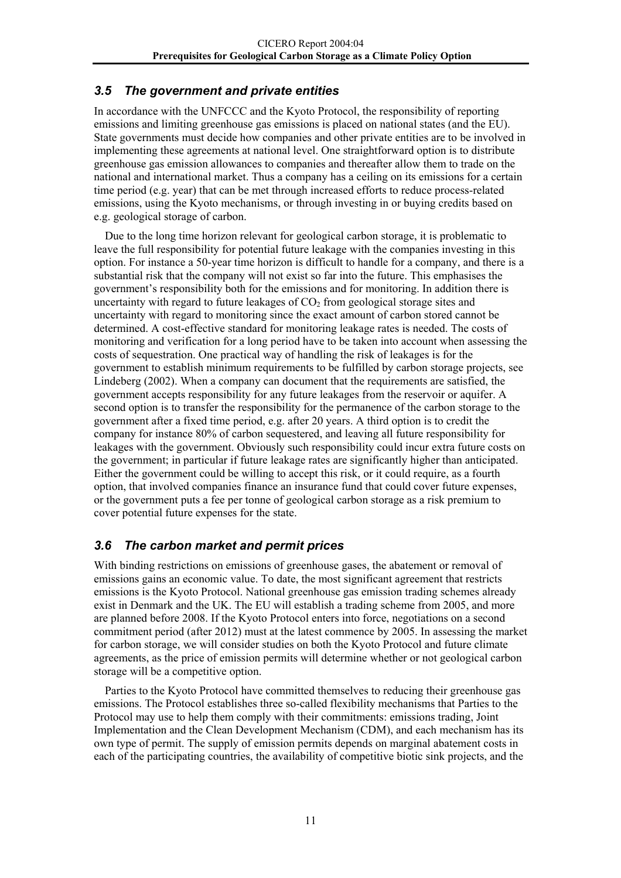## <span id="page-13-0"></span>*3.5 The government and private entities*

In accordance with the UNFCCC and the Kyoto Protocol, the responsibility of reporting emissions and limiting greenhouse gas emissions is placed on national states (and the EU). State governments must decide how companies and other private entities are to be involved in implementing these agreements at national level. One straightforward option is to distribute greenhouse gas emission allowances to companies and thereafter allow them to trade on the national and international market. Thus a company has a ceiling on its emissions for a certain time period (e.g. year) that can be met through increased efforts to reduce process-related emissions, using the Kyoto mechanisms, or through investing in or buying credits based on e.g. geological storage of carbon.

Due to the long time horizon relevant for geological carbon storage, it is problematic to leave the full responsibility for potential future leakage with the companies investing in this option. For instance a 50-year time horizon is difficult to handle for a company, and there is a substantial risk that the company will not exist so far into the future. This emphasises the government's responsibility both for the emissions and for monitoring. In addition there is uncertainty with regard to future leakages of  $CO<sub>2</sub>$  from geological storage sites and uncertainty with regard to monitoring since the exact amount of carbon stored cannot be determined. A cost-effective standard for monitoring leakage rates is needed. The costs of monitoring and verification for a long period have to be taken into account when assessing the costs of sequestration. One practical way of handling the risk of leakages is for the government to establish minimum requirements to be fulfilled by carbon storage projects, see Lindeberg (2002). When a company can document that the requirements are satisfied, the government accepts responsibility for any future leakages from the reservoir or aquifer. A second option is to transfer the responsibility for the permanence of the carbon storage to the government after a fixed time period, e.g. after 20 years. A third option is to credit the company for instance 80% of carbon sequestered, and leaving all future responsibility for leakages with the government. Obviously such responsibility could incur extra future costs on the government; in particular if future leakage rates are significantly higher than anticipated. Either the government could be willing to accept this risk, or it could require, as a fourth option, that involved companies finance an insurance fund that could cover future expenses, or the government puts a fee per tonne of geological carbon storage as a risk premium to cover potential future expenses for the state.

## *3.6 The carbon market and permit prices*

With binding restrictions on emissions of greenhouse gases, the abatement or removal of emissions gains an economic value. To date, the most significant agreement that restricts emissions is the Kyoto Protocol. National greenhouse gas emission trading schemes already exist in Denmark and the UK. The EU will establish a trading scheme from 2005, and more are planned before 2008. If the Kyoto Protocol enters into force, negotiations on a second commitment period (after 2012) must at the latest commence by 2005. In assessing the market for carbon storage, we will consider studies on both the Kyoto Protocol and future climate agreements, as the price of emission permits will determine whether or not geological carbon storage will be a competitive option.

Parties to the Kyoto Protocol have committed themselves to reducing their greenhouse gas emissions. The Protocol establishes three so-called flexibility mechanisms that Parties to the Protocol may use to help them comply with their commitments: emissions trading, Joint Implementation and the Clean Development Mechanism (CDM), and each mechanism has its own type of permit. The supply of emission permits depends on marginal abatement costs in each of the participating countries, the availability of competitive biotic sink projects, and the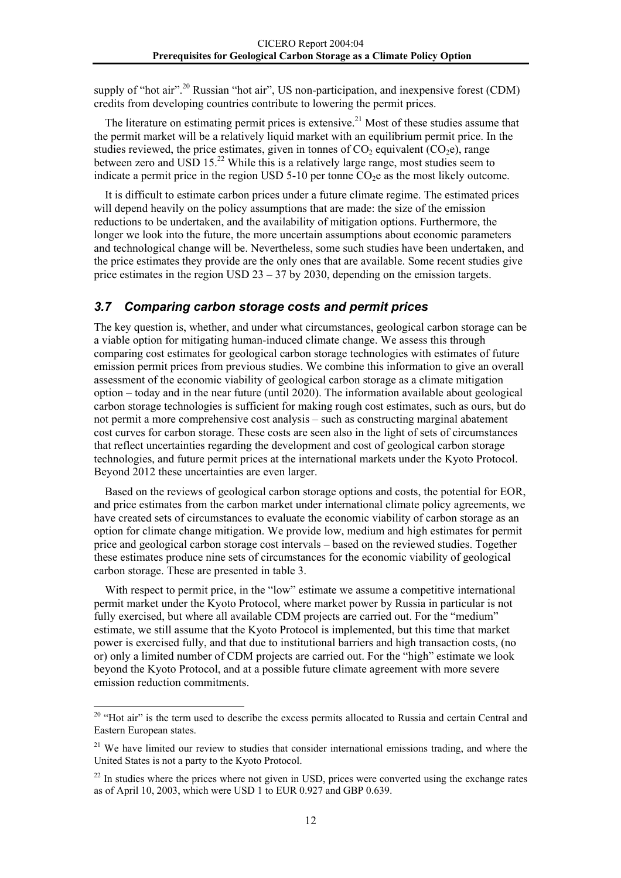<span id="page-14-0"></span>supply of "hot air".<sup>20</sup> Russian "hot air". US non-participation, and inexpensive forest (CDM) credits from developing countries contribute to lowering the permit prices.

The literature on estimating permit prices is extensive.<sup>21</sup> Most of these studies assume that the permit market will be a relatively liquid market with an equilibrium permit price. In the studies reviewed, the price estimates, given in tonnes of  $CO<sub>2</sub>$  equivalent ( $CO<sub>2</sub>e$ ), range between zero and USD 15.<sup>22</sup> While this is a relatively large range, most studies seem to indicate a permit price in the region USD  $5-10$  per tonne  $CO<sub>2</sub>e$  as the most likely outcome.

It is difficult to estimate carbon prices under a future climate regime. The estimated prices will depend heavily on the policy assumptions that are made: the size of the emission reductions to be undertaken, and the availability of mitigation options. Furthermore, the longer we look into the future, the more uncertain assumptions about economic parameters and technological change will be. Nevertheless, some such studies have been undertaken, and the price estimates they provide are the only ones that are available. Some recent studies give price estimates in the region USD  $23 - 37$  by 2030, depending on the emission targets.

#### *3.7 Comparing carbon storage costs and permit prices*

The key question is, whether, and under what circumstances, geological carbon storage can be a viable option for mitigating human-induced climate change. We assess this through comparing cost estimates for geological carbon storage technologies with estimates of future emission permit prices from previous studies. We combine this information to give an overall assessment of the economic viability of geological carbon storage as a climate mitigation option – today and in the near future (until 2020). The information available about geological carbon storage technologies is sufficient for making rough cost estimates, such as ours, but do not permit a more comprehensive cost analysis – such as constructing marginal abatement cost curves for carbon storage. These costs are seen also in the light of sets of circumstances that reflect uncertainties regarding the development and cost of geological carbon storage technologies, and future permit prices at the international markets under the Kyoto Protocol. Beyond 2012 these uncertainties are even larger.

Based on the reviews of geological carbon storage options and costs, the potential for EOR, and price estimates from the carbon market under international climate policy agreements, we have created sets of circumstances to evaluate the economic viability of carbon storage as an option for climate change mitigation. We provide low, medium and high estimates for permit price and geological carbon storage cost intervals – based on the reviewed studies. Together these estimates produce nine sets of circumstances for the economic viability of geological carbon storage. These are presented in table 3.

With respect to permit price, in the "low" estimate we assume a competitive international permit market under the Kyoto Protocol, where market power by Russia in particular is not fully exercised, but where all available CDM projects are carried out. For the "medium" estimate, we still assume that the Kyoto Protocol is implemented, but this time that market power is exercised fully, and that due to institutional barriers and high transaction costs, (no or) only a limited number of CDM projects are carried out. For the "high" estimate we look beyond the Kyoto Protocol, and at a possible future climate agreement with more severe emission reduction commitments.

<span id="page-14-1"></span><sup>&</sup>lt;sup>20</sup> "Hot air" is the term used to describe the excess permits allocated to Russia and certain Central and Eastern European states.

<span id="page-14-2"></span><sup>&</sup>lt;sup>21</sup> We have limited our review to studies that consider international emissions trading, and where the United States is not a party to the Kyoto Protocol.

<span id="page-14-3"></span><sup>&</sup>lt;sup>22</sup> In studies where the prices where not given in USD, prices were converted using the exchange rates as of April 10, 2003, which were USD 1 to EUR 0.927 and GBP 0.639.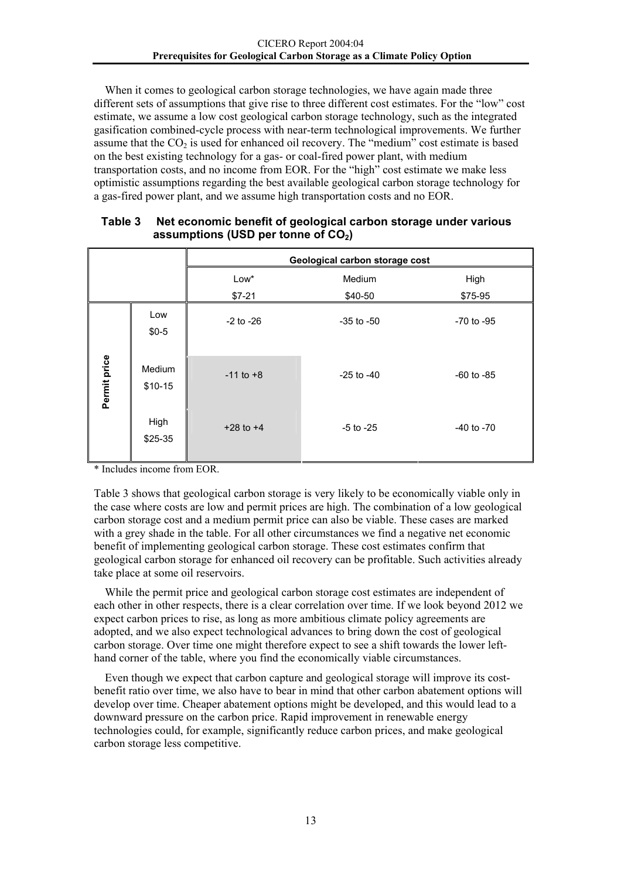When it comes to geological carbon storage technologies, we have again made three different sets of assumptions that give rise to three different cost estimates. For the "low" cost estimate, we assume a low cost geological carbon storage technology, such as the integrated gasification combined-cycle process with near-term technological improvements. We further assume that the  $CO<sub>2</sub>$  is used for enhanced oil recovery. The "medium" cost estimate is based on the best existing technology for a gas- or coal-fired power plant, with medium transportation costs, and no income from EOR. For the "high" cost estimate we make less optimistic assumptions regarding the best available geological carbon storage technology for a gas-fired power plant, and we assume high transportation costs and no EOR.

|              |                    |                 | Geological carbon storage cost |                 |
|--------------|--------------------|-----------------|--------------------------------|-----------------|
|              |                    | Low*<br>$$7-21$ | Medium<br>\$40-50              | High<br>\$75-95 |
|              | Low<br>$$0-5$      | $-2$ to $-26$   | $-35$ to $-50$                 | $-70$ to $-95$  |
| Permit price | Medium<br>$$10-15$ | $-11$ to $+8$   | $-25$ to $-40$                 | $-60$ to $-85$  |
|              | High<br>\$25-35    | $+28$ to $+4$   | $-5$ to $-25$                  | $-40$ to $-70$  |

#### **Table 3 Net economic benefit of geological carbon storage under various**  assumptions (USD per tonne of CO<sub>2</sub>)

\* Includes income from EOR.

Table 3 shows that geological carbon storage is very likely to be economically viable only in the case where costs are low and permit prices are high. The combination of a low geological carbon storage cost and a medium permit price can also be viable. These cases are marked with a grey shade in the table. For all other circumstances we find a negative net economic benefit of implementing geological carbon storage. These cost estimates confirm that geological carbon storage for enhanced oil recovery can be profitable. Such activities already take place at some oil reservoirs.

While the permit price and geological carbon storage cost estimates are independent of each other in other respects, there is a clear correlation over time. If we look beyond 2012 we expect carbon prices to rise, as long as more ambitious climate policy agreements are adopted, and we also expect technological advances to bring down the cost of geological carbon storage. Over time one might therefore expect to see a shift towards the lower lefthand corner of the table, where you find the economically viable circumstances.

Even though we expect that carbon capture and geological storage will improve its costbenefit ratio over time, we also have to bear in mind that other carbon abatement options will develop over time. Cheaper abatement options might be developed, and this would lead to a downward pressure on the carbon price. Rapid improvement in renewable energy technologies could, for example, significantly reduce carbon prices, and make geological carbon storage less competitive.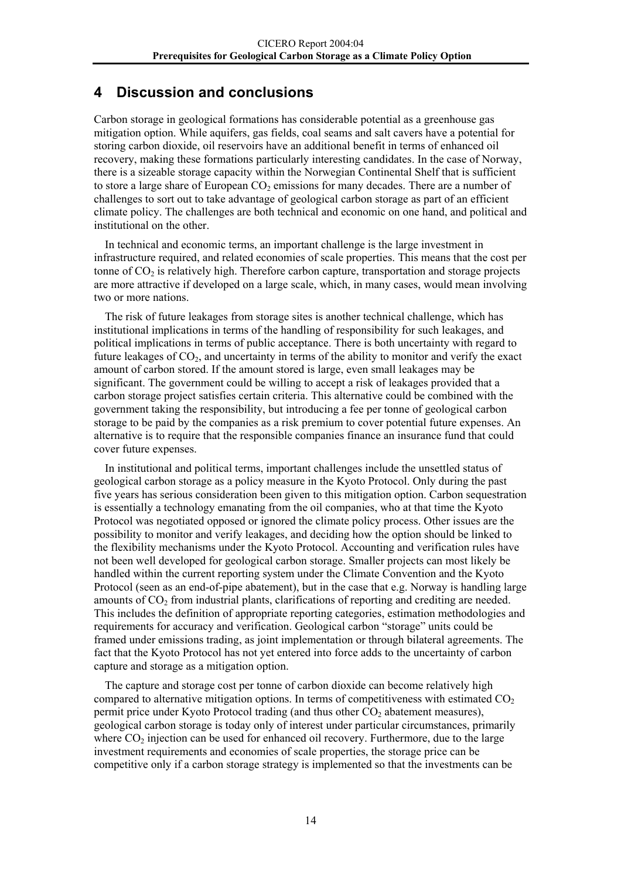# <span id="page-16-0"></span>**4 Discussion and conclusions**

Carbon storage in geological formations has considerable potential as a greenhouse gas mitigation option. While aquifers, gas fields, coal seams and salt cavers have a potential for storing carbon dioxide, oil reservoirs have an additional benefit in terms of enhanced oil recovery, making these formations particularly interesting candidates. In the case of Norway, there is a sizeable storage capacity within the Norwegian Continental Shelf that is sufficient to store a large share of European  $CO<sub>2</sub>$  emissions for many decades. There are a number of challenges to sort out to take advantage of geological carbon storage as part of an efficient climate policy. The challenges are both technical and economic on one hand, and political and institutional on the other.

In technical and economic terms, an important challenge is the large investment in infrastructure required, and related economies of scale properties. This means that the cost per tonne of  $CO<sub>2</sub>$  is relatively high. Therefore carbon capture, transportation and storage projects are more attractive if developed on a large scale, which, in many cases, would mean involving two or more nations.

The risk of future leakages from storage sites is another technical challenge, which has institutional implications in terms of the handling of responsibility for such leakages, and political implications in terms of public acceptance. There is both uncertainty with regard to future leakages of  $CO<sub>2</sub>$ , and uncertainty in terms of the ability to monitor and verify the exact amount of carbon stored. If the amount stored is large, even small leakages may be significant. The government could be willing to accept a risk of leakages provided that a carbon storage project satisfies certain criteria. This alternative could be combined with the government taking the responsibility, but introducing a fee per tonne of geological carbon storage to be paid by the companies as a risk premium to cover potential future expenses. An alternative is to require that the responsible companies finance an insurance fund that could cover future expenses.

In institutional and political terms, important challenges include the unsettled status of geological carbon storage as a policy measure in the Kyoto Protocol. Only during the past five years has serious consideration been given to this mitigation option. Carbon sequestration is essentially a technology emanating from the oil companies, who at that time the Kyoto Protocol was negotiated opposed or ignored the climate policy process. Other issues are the possibility to monitor and verify leakages, and deciding how the option should be linked to the flexibility mechanisms under the Kyoto Protocol. Accounting and verification rules have not been well developed for geological carbon storage. Smaller projects can most likely be handled within the current reporting system under the Climate Convention and the Kyoto Protocol (seen as an end-of-pipe abatement), but in the case that e.g. Norway is handling large amounts of CO<sub>2</sub> from industrial plants, clarifications of reporting and crediting are needed. This includes the definition of appropriate reporting categories, estimation methodologies and requirements for accuracy and verification. Geological carbon "storage" units could be framed under emissions trading, as joint implementation or through bilateral agreements. The fact that the Kyoto Protocol has not yet entered into force adds to the uncertainty of carbon capture and storage as a mitigation option.

The capture and storage cost per tonne of carbon dioxide can become relatively high compared to alternative mitigation options. In terms of competitiveness with estimated  $CO<sub>2</sub>$ permit price under Kyoto Protocol trading (and thus other  $CO<sub>2</sub>$  abatement measures), geological carbon storage is today only of interest under particular circumstances, primarily where  $CO<sub>2</sub>$  injection can be used for enhanced oil recovery. Furthermore, due to the large investment requirements and economies of scale properties, the storage price can be competitive only if a carbon storage strategy is implemented so that the investments can be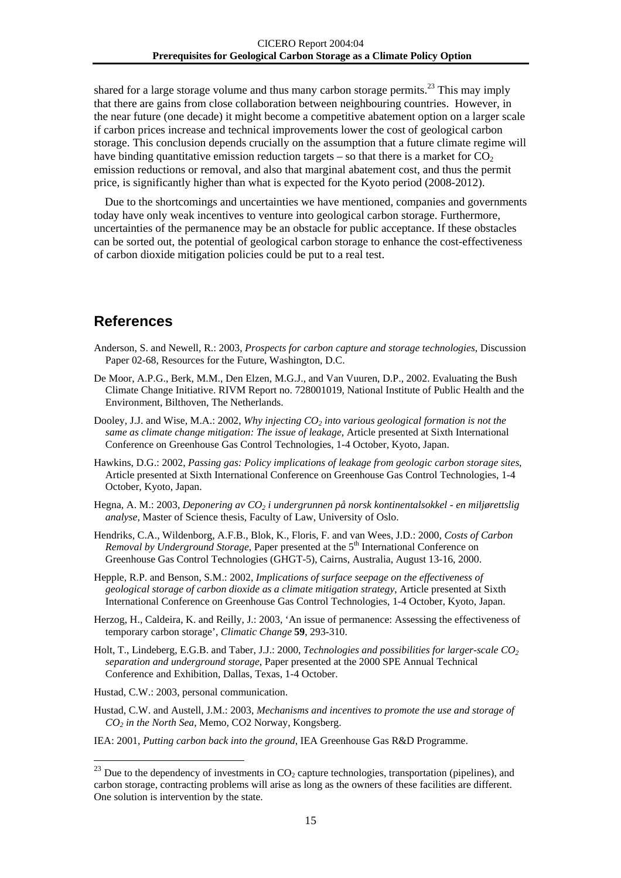shared for a large storage volume and thus many carbon storage permits.<sup>23</sup> This may imply that there are gains from close collaboration between neighbouring countries. However, in the near future (one decade) it might become a competitive abatement option on a larger scale if carbon prices increase and technical improvements lower the cost of geological carbon storage. This conclusion depends crucially on the assumption that a future climate regime will have binding quantitative emission reduction targets  $-$  so that there is a market for  $CO<sub>2</sub>$ emission reductions or removal, and also that marginal abatement cost, and thus the permit price, is significantly higher than what is expected for the Kyoto period (2008-2012).

Due to the shortcomings and uncertainties we have mentioned, companies and governments today have only weak incentives to venture into geological carbon storage. Furthermore, uncertainties of the permanence may be an obstacle for public acceptance. If these obstacles can be sorted out, the potential of geological carbon storage to enhance the cost-effectiveness of carbon dioxide mitigation policies could be put to a real test.

## **References**

- Anderson, S. and Newell, R.: 2003, *Prospects for carbon capture and storage technologies*, Discussion Paper 02-68, Resources for the Future, Washington, D.C.
- De Moor, A.P.G., Berk, M.M., Den Elzen, M.G.J., and Van Vuuren, D.P., 2002. Evaluating the Bush Climate Change Initiative. RIVM Report no. 728001019, National Institute of Public Health and the Environment, Bilthoven, The Netherlands.
- Dooley, J.J. and Wise, M.A.: 2002, *Why injecting CO<sub>2</sub> into various geological formation is not the same as climate change mitigation: The issue of leakage*, Article presented at Sixth International Conference on Greenhouse Gas Control Technologies, 1-4 October, Kyoto, Japan.
- Hawkins, D.G.: 2002, *Passing gas: Policy implications of leakage from geologic carbon storage sites*, Article presented at Sixth International Conference on Greenhouse Gas Control Technologies, 1-4 October, Kyoto, Japan.
- Hegna, A. M.: 2003, *Deponering av CO<sub>2</sub> i undergrunnen på norsk kontinentalsokkel en miljørettslig analyse*, Master of Science thesis, Faculty of Law, University of Oslo.
- Hendriks, C.A., Wildenborg, A.F.B., Blok, K., Floris, F. and van Wees, J.D.: 2000, *Costs of Carbon Removal by Underground Storage*, Paper presented at the 5<sup>th</sup> International Conference on Greenhouse Gas Control Technologies (GHGT-5), Cairns, Australia, August 13-16, 2000.
- Hepple, R.P. and Benson, S.M.: 2002, *Implications of surface seepage on the effectiveness of geological storage of carbon dioxide as a climate mitigation strategy*, Article presented at Sixth International Conference on Greenhouse Gas Control Technologies, 1-4 October, Kyoto, Japan.
- Herzog, H., Caldeira, K. and Reilly, J.: 2003, 'An issue of permanence: Assessing the effectiveness of temporary carbon storage', *Climatic Change* **59**, 293-310.
- Holt, T., Lindeberg, E.G.B. and Taber, J.J.: 2000, *Technologies and possibilities for larger-scale CO2 separation and underground storage*, Paper presented at the 2000 SPE Annual Technical Conference and Exhibition, Dallas, Texas, 1-4 October.
- Hustad, C.W.: 2003, personal communication.

- Hustad, C.W. and Austell, J.M.: 2003, *Mechanisms and incentives to promote the use and storage of CO2 in the North Sea*, Memo, CO2 Norway, Kongsberg.
- IEA: 2001, *Putting carbon back into the ground*, IEA Greenhouse Gas R&D Programme.

<span id="page-17-0"></span> $^{23}$  Due to the dependency of investments in CO<sub>2</sub> capture technologies, transportation (pipelines), and carbon storage, contracting problems will arise as long as the owners of these facilities are different. One solution is intervention by the state.